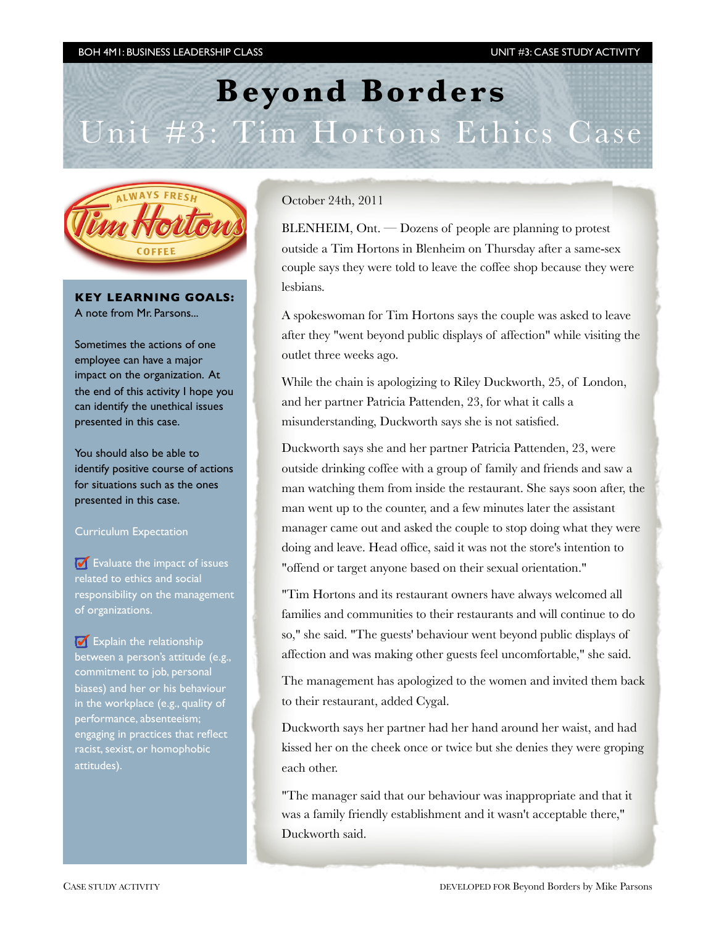# **Beyond Borders**  Unit #3: Tim Hortons Ethics Case



#### **KEY LEARNING GOALS:** A note from Mr. Parsons...

Sometimes the actions of one employee can have a major impact on the organization. At the end of this activity I hope you can identify the unethical issues presented in this case.

You should also be able to identify positive course of actions for situations such as the ones presented in this case.

### Curriculum Expectation

 $\bullet$  Evaluate the impact of issues related to ethics and social responsibility on the management of organizations.

 $\Box$  Explain the relationship between a person's attitude (e.g., commitment to job, personal biases) and her or his behaviour in the workplace (e.g., quality of performance, absenteeism; engaging in practices that reflect racist, sexist, or homophobic attitudes).

October 24th, 2011

 $BLENHEIM$ ,  $Ont.$   $-Dozens$  of people are planning to protest outside a Tim Hortons in Blenheim on Thursday after a same-sex couple says they were told to leave the coffee shop because they were lesbians.

A spokeswoman for Tim Hortons says the couple was asked to leave after they "went beyond public displays of affection" while visiting the outlet three weeks ago.

While the chain is apologizing to Riley Duckworth, 25, of London, and her partner Patricia Pattenden, 23, for what it calls a misunderstanding, Duckworth says she is not satisfied.

Duckworth says she and her partner Patricia Pattenden, 23, were outside drinking coffee with a group of family and friends and saw a man watching them from inside the restaurant. She says soon after, the man went up to the counter, and a few minutes later the assistant manager came out and asked the couple to stop doing what they were doing and leave. Head office, said it was not the store's intention to "offend or target anyone based on their sexual orientation."

"Tim Hortons and its restaurant owners have always welcomed all families and communities to their restaurants and will continue to do so," she said. "The guests' behaviour went beyond public displays of affection and was making other guests feel uncomfortable," she said.

The management has apologized to the women and invited them back to their restaurant, added Cygal.

Duckworth says her partner had her hand around her waist, and had kissed her on the cheek once or twice but she denies they were groping each other.

"The manager said that our behaviour was inappropriate and that it was a family friendly establishment and it wasn't acceptable there," Duckworth said.